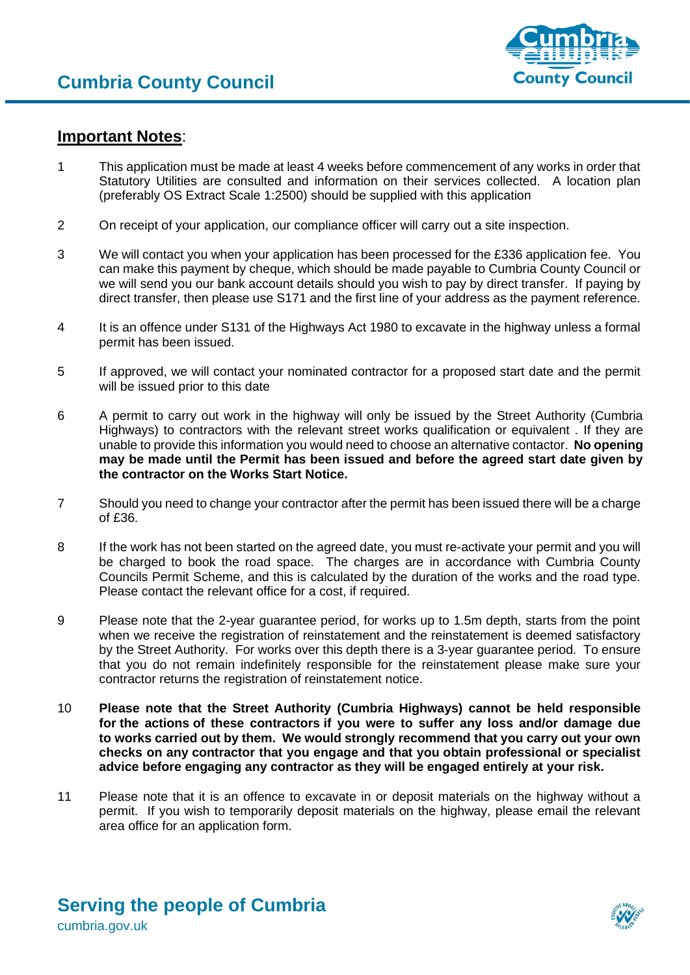

## **Important Notes**:

- 1 This application must be made at least 4 weeks before commencement of any works in order that Statutory Utilities are consulted and information on their services collected. A location plan (preferably OS Extract Scale 1:2500) should be supplied with this application
- 2 On receipt of your application, our compliance officer will carry out a site inspection.
- 3 We will contact you when your application has been processed for the £336 application fee. You can make this payment by cheque, which should be made payable to Cumbria County Council or we will send you our bank account details should you wish to pay by direct transfer. If paying by direct transfer, then please use S171 and the first line of your address as the payment reference.
- 4 It is an offence under S131 of the Highways Act 1980 to excavate in the highway unless a formal permit has been issued.
- 5 If approved, we will contact your nominated contractor for a proposed start date and the permit will be issued prior to this date
- 6 A permit to carry out work in the highway will only be issued by the Street Authority (Cumbria Highways) to contractors with the relevant street works qualification or equivalent . If they are unable to provide this information you would need to choose an alternative contactor. **No opening may be made until the Permit has been issued and before the agreed start date given by the contractor on the Works Start Notice.**
- 7 Should you need to change your contractor after the permit has been issued there will be a charge of £36.
- 8 If the work has not been started on the agreed date, you must re-activate your permit and you will be charged to book the road space. The charges are in accordance with Cumbria County Councils Permit Scheme, and this is calculated by the duration of the works and the road type. Please contact the relevant office for a cost, if required.
- 9 Please note that the 2-year guarantee period, for works up to 1.5m depth, starts from the point when we receive the registration of reinstatement and the reinstatement is deemed satisfactory by the Street Authority. For works over this depth there is a 3-year guarantee period. To ensure that you do not remain indefinitely responsible for the reinstatement please make sure your contractor returns the registration of reinstatement notice.
- 10 **Please note that the Street Authority (Cumbria Highways) cannot be held responsible for the actions of these contractors if you were to suffer any loss and/or damage due to works carried out by them. We would strongly recommend that you carry out your own checks on any contractor that you engage and that you obtain professional or specialist advice before engaging any contractor as they will be engaged entirely at your risk.**
- 11 Please note that it is an offence to excavate in or deposit materials on the highway without a permit. If you wish to temporarily deposit materials on the highway, please email the relevant area office for an application form.